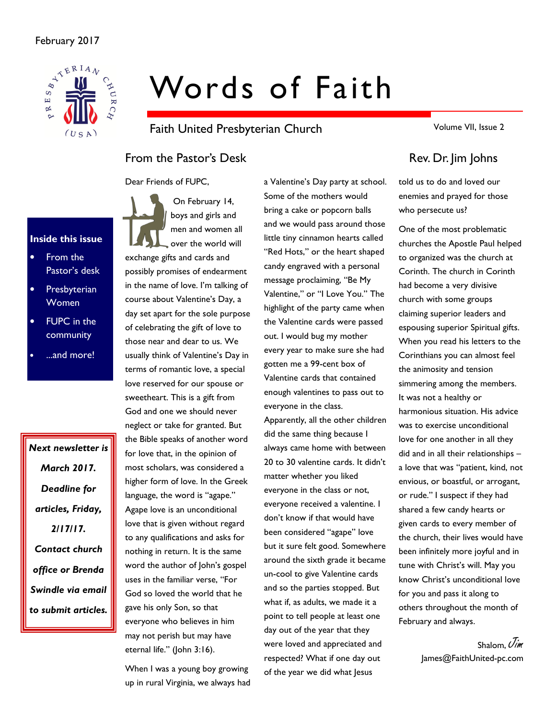

# Words of Faith

Faith United Presbyterian Church

From the Pastor's Desk Rev. Dr. Jim Johns

Dear Friends of FUPC,

# Inside this issue

- From the Pastor's desk
- **Presbyterian** Women
- **FUPC** in the community
- ...and more!

Next newsletter is March 2017. Deadline for articles, Friday, 2/17/17. Contact church office or Brenda Swindle via email to submit articles.

 On February 14, boys and girls and men and women all over the world will exchange gifts and cards and possibly promises of endearment in the name of love. I'm talking of course about Valentine's Day, a day set apart for the sole purpose of celebrating the gift of love to those near and dear to us. We usually think of Valentine's Day in terms of romantic love, a special love reserved for our spouse or sweetheart. This is a gift from God and one we should never neglect or take for granted. But the Bible speaks of another word for love that, in the opinion of most scholars, was considered a higher form of love. In the Greek language, the word is "agape." Agape love is an unconditional love that is given without regard to any qualifications and asks for nothing in return. It is the same word the author of John's gospel uses in the familiar verse, "For God so loved the world that he gave his only Son, so that everyone who believes in him may not perish but may have eternal life." (John 3:16).

When I was a young boy growing up in rural Virginia, we always had

a Valentine's Day party at school. Some of the mothers would bring a cake or popcorn balls and we would pass around those little tiny cinnamon hearts called "Red Hots," or the heart shaped candy engraved with a personal message proclaiming, "Be My Valentine," or "I Love You." The highlight of the party came when the Valentine cards were passed out. I would bug my mother every year to make sure she had gotten me a 99-cent box of Valentine cards that contained enough valentines to pass out to everyone in the class. Apparently, all the other children did the same thing because I always came home with between 20 to 30 valentine cards. It didn't matter whether you liked everyone in the class or not, everyone received a valentine. I don't know if that would have been considered "agape" love but it sure felt good. Somewhere

# around the sixth grade it became un-cool to give Valentine cards and so the parties stopped. But what if, as adults, we made it a point to tell people at least one day out of the year that they were loved and appreciated and respected? What if one day out

Volume VII, Issue 2

told us to do and loved our enemies and prayed for those who persecute us?

One of the most problematic churches the Apostle Paul helped to organized was the church at Corinth. The church in Corinth had become a very divisive church with some groups claiming superior leaders and espousing superior Spiritual gifts. When you read his letters to the Corinthians you can almost feel the animosity and tension simmering among the members. It was not a healthy or harmonious situation. His advice was to exercise unconditional love for one another in all they did and in all their relationships – a love that was "patient, kind, not envious, or boastful, or arrogant, or rude." I suspect if they had shared a few candy hearts or given cards to every member of the church, their lives would have been infinitely more joyful and in tune with Christ's will. May you know Christ's unconditional love for you and pass it along to others throughout the month of February and always.

> Shalom,  $\mathcal{J}_{\mathcal{I}\mathcal{M}}$ James@FaithUnited-pc.com

of the year we did what lesus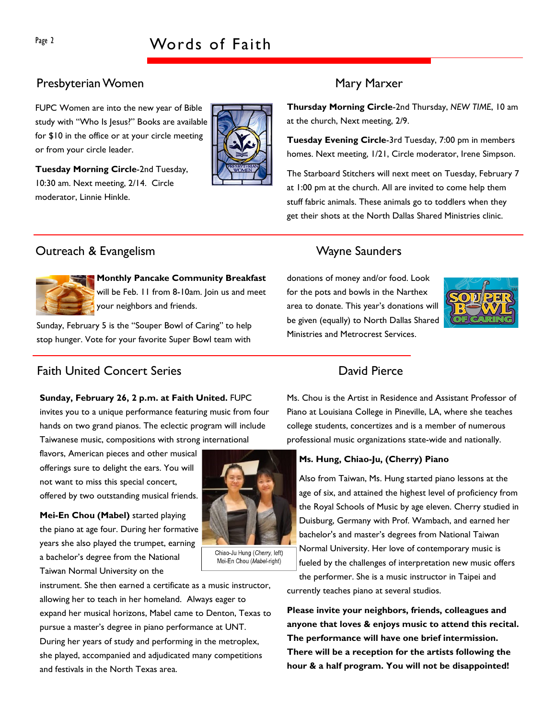# Presbyterian Women Mary Marxer

FUPC Women are into the new year of Bible study with "Who Is Jesus?" Books are available for \$10 in the office or at your circle meeting or from your circle leader.



Thursday Morning Circle-2nd Thursday, NEW TIME, 10 am at the church, Next meeting, 2/9.

Tuesday Evening Circle-3rd Tuesday, 7:00 pm in members homes. Next meeting, 1/21, Circle moderator, Irene Simpson.

The Starboard Stitchers will next meet on Tuesday, February 7 at 1:00 pm at the church. All are invited to come help them stuff fabric animals. These animals go to toddlers when they get their shots at the North Dallas Shared Ministries clinic.

# Outreach & Evangelism National Control of Mayne Saunders



Monthly Pancake Community Breakfast will be Feb. 11 from 8-10am. Join us and meet your neighbors and friends.

Sunday, February 5 is the "Souper Bowl of Caring" to help stop hunger. Vote for your favorite Super Bowl team with

# **Faith United Concert Series Concert Series Concert Series** David Pierce

### Sunday, February 26, 2 p.m. at Faith United. FUPC

invites you to a unique performance featuring music from four hands on two grand pianos. The eclectic program will include Taiwanese music, compositions with strong international

flavors, American pieces and other musical offerings sure to delight the ears. You will not want to miss this special concert, offered by two outstanding musical friends.

Mei-En Chou (Mabel) started playing the piano at age four. During her formative years she also played the trumpet, earning a bachelor's degree from the National Taiwan Normal University on the



Chiao-Ju Hung (Cherry, left) Mei-En Chou (Mabel-right)

instrument. She then earned a certificate as a music instructor, allowing her to teach in her homeland. Always eager to expand her musical horizons, Mabel came to Denton, Texas to pursue a master's degree in piano performance at UNT. During her years of study and performing in the metroplex, she played, accompanied and adjudicated many competitions and festivals in the North Texas area.

donations of money and/or food. Look for the pots and bowls in the Narthex area to donate. This year's donations will be given (equally) to North Dallas Shared Ministries and Metrocrest Services.



Ms. Chou is the Artist in Residence and Assistant Professor of Piano at Louisiana College in Pineville, LA, where she teaches college students, concertizes and is a member of numerous professional music organizations state-wide and nationally.

### Ms. Hung, Chiao-Ju, (Cherry) Piano

Also from Taiwan, Ms. Hung started piano lessons at the age of six, and attained the highest level of proficiency from the Royal Schools of Music by age eleven. Cherry studied in Duisburg, Germany with Prof. Wambach, and earned her bachelor's and master's degrees from National Taiwan Normal University. Her love of contemporary music is fueled by the challenges of interpretation new music offers

the performer. She is a music instructor in Taipei and currently teaches piano at several studios.

Please invite your neighbors, friends, colleagues and anyone that loves & enjoys music to attend this recital. The performance will have one brief intermission. There will be a reception for the artists following the hour & a half program. You will not be disappointed!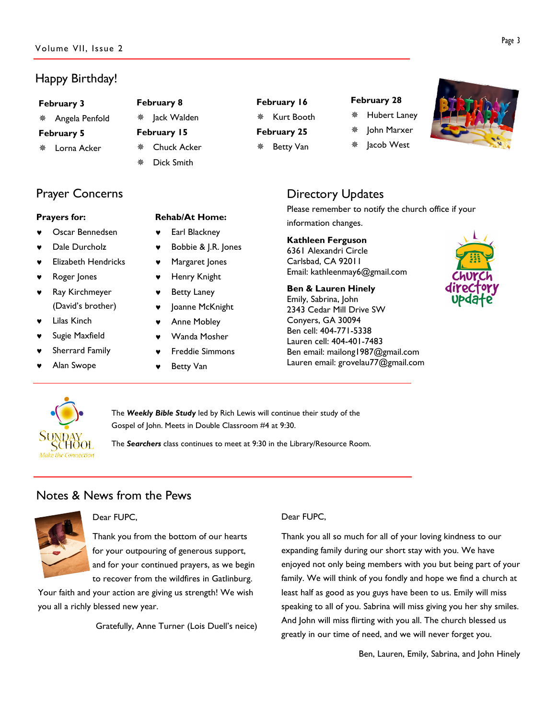# Happy Birthday!

#### February 3

Angela Penfold

### February 5

Lorna Acker

# Prayer Concerns

## Prayers for:

- Oscar Bennedsen
- Dale Durcholz
- **Elizabeth Hendricks**
- Roger Jones
- Ray Kirchmeyer (David's brother)
- **Lilas Kinch**
- Sugie Maxfield
- Sherrard Family
- Alan Swope

# February 8

- ※ Jack Walden
- February 15
- Chuck Acker
	- Dick Smith

Rehab/At Home: Earl Blackney

**Betty Van** 

Bobbie & J.R. Jones Margaret Jones Henry Knight **Betty Laney** Joanne McKnight Anne Mobley Wanda Mosher **Freddie Simmons** 

# February 16

 Kurt Booth February 25

Betty Van

# February 28

John Marxer

Hubert Laney

Jacob West

# Directory Updates

Please remember to notify the church office if your information changes.

## Kathleen Ferguson

6361 Alexandri Circle Carlsbad, CA 92011 Email: kathleenmay6@gmail.com

# Ben & Lauren Hinely

Emily, Sabrina, John 2343 Cedar Mill Drive SW Conyers, GA 30094 Ben cell: 404-771-5338 Lauren cell: 404-401-7483 Ben email: mailong1987@gmail.com Lauren email: grovelau77@gmail.com





The Weekly Bible Study led by Rich Lewis will continue their study of the Gospel of John. Meets in Double Classroom #4 at 9:30.

The Searchers class continues to meet at 9:30 in the Library/Resource Room.

# Notes & News from the Pews



## Dear FUPC,

Thank you from the bottom of our hearts for your outpouring of generous support, and for your continued prayers, as we begin to recover from the wildfires in Gatlinburg.

Your faith and your action are giving us strength! We wish you all a richly blessed new year.

Gratefully, Anne Turner (Lois Duell's neice)

## Dear FUPC,

Thank you all so much for all of your loving kindness to our expanding family during our short stay with you. We have enjoyed not only being members with you but being part of your family. We will think of you fondly and hope we find a church at least half as good as you guys have been to us. Emily will miss speaking to all of you. Sabrina will miss giving you her shy smiles. And John will miss flirting with you all. The church blessed us greatly in our time of need, and we will never forget you.

Ben, Lauren, Emily, Sabrina, and John Hinely